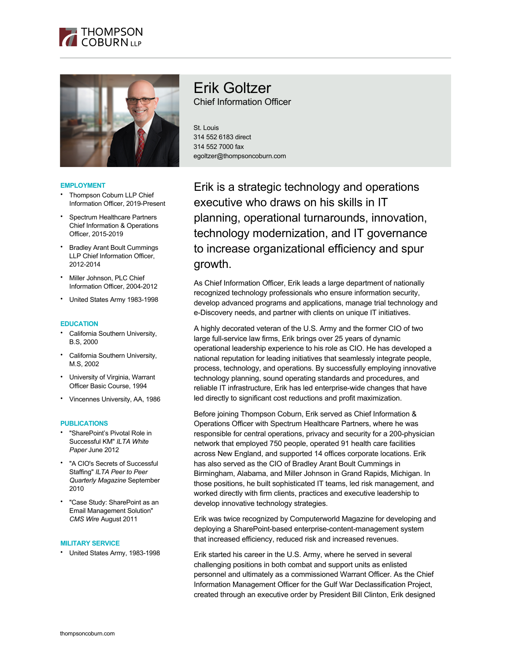



#### **EMPLOYMENT**

- Thompson Coburn LLP Chief Information Officer, 2019-Present
- Spectrum Healthcare Partners Chief Information & Operations Officer, 2015-2019
- Bradley Arant Boult Cummings LLP Chief Information Officer, 2012-2014
- Miller Johnson, PLC Chief Information Officer, 2004-2012
- United States Army 1983-1998

#### **EDUCATION**

- California Southern University, B.S, 2000
- California Southern University, M.S, 2002
- University of Virginia, Warrant Officer Basic Course, 1994
- Vincennes University, AA, 1986

#### **PUBLICATIONS**

- "SharePoint's Pivotal Role in Successful KM" *ILTA White Paper* June 2012
- "A CIO's Secrets of Successful Staffing" *ILTA Peer to Peer Quarterly Magazine* September 2010
- "Case Study: SharePoint as an Email Management Solution" *CMS Wire* August 2011

#### **MILITARY SERVICE**

• United States Army, 1983-1998

# Erik Goltzer Chief Information Officer

St. Louis 314 552 6183 direct 314 552 7000 fax egoltzer@thompsoncoburn.com

Erik is a strategic technology and operations executive who draws on his skills in IT planning, operational turnarounds, innovation, technology modernization, and IT governance to increase organizational efficiency and spur growth.

As Chief Information Officer, Erik leads a large department of nationally recognized technology professionals who ensure information security, develop advanced programs and applications, manage trial technology and e-Discovery needs, and partner with clients on unique IT initiatives.

A highly decorated veteran of the U.S. Army and the former CIO of two large full-service law firms, Erik brings over 25 years of dynamic operational leadership experience to his role as CIO. He has developed a national reputation for leading initiatives that seamlessly integrate people, process, technology, and operations. By successfully employing innovative technology planning, sound operating standards and procedures, and reliable IT infrastructure, Erik has led enterprise-wide changes that have led directly to significant cost reductions and profit maximization.

Before joining Thompson Coburn, Erik served as Chief Information & Operations Officer with Spectrum Healthcare Partners, where he was responsible for central operations, privacy and security for a 200-physician network that employed 750 people, operated 91 health care facilities across New England, and supported 14 offices corporate locations. Erik has also served as the CIO of Bradley Arant Boult Cummings in Birmingham, Alabama, and Miller Johnson in Grand Rapids, Michigan. In those positions, he built sophisticated IT teams, led risk management, and worked directly with firm clients, practices and executive leadership to develop innovative technology strategies.

Erik was twice recognized by Computerworld Magazine for developing and deploying a SharePoint-based enterprise-content-management system that increased efficiency, reduced risk and increased revenues.

Erik started his career in the U.S. Army, where he served in several challenging positions in both combat and support units as enlisted personnel and ultimately as a commissioned Warrant Officer. As the Chief Information Management Officer for the Gulf War Declassification Project, created through an executive order by President Bill Clinton, Erik designed